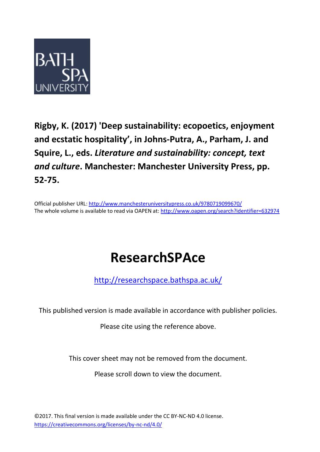

## **Rigby, K. (2017) 'Deep sustainability: ecopoetics, enjoyment and ecstatic hospitality', in Johns-Putra, A., Parham, J. and Squire, L., eds.** *Literature and sustainability: concept, text and culture***. Manchester: Manchester University Press, pp. 52-75.**

Official publisher URL:<http://www.manchesteruniversitypress.co.uk/9780719099670/> The whole volume is available to read via OAPEN at:<http://www.oapen.org/search?identifier=632974>

# **ResearchSPAce**

<http://researchspace.bathspa.ac.uk/>

This published version is made available in accordance with publisher policies.

Please cite using the reference above.

This cover sheet may not be removed from the document.

Please scroll down to view the document.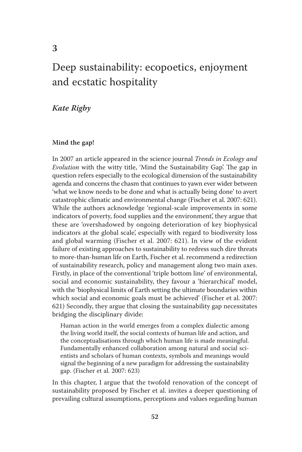### Deep sustainability: ecopoetics, enjoyment and ecstatic hospitality

 *Kate Rigby* 

#### **Mind the gap!**

 In 2007 an article appeared in the science journal *Trends in Ecology and Evolution* with the witty title, 'Mind the Sustainability Gap'. The gap in question refers especially to the ecological dimension of the sustainability agenda and concerns the chasm that continues to yawn ever wider between 'what we know needs to be done and what is actually being done' to avert catastrophic climatic and environmental change (Fischer et al. 2007: 621). While the authors acknowledge 'regional-scale improvements in some indicators of poverty, food supplies and the environment', they argue that these are 'overshadowed by ongoing deterioration of key biophysical indicators at the global scale', especially with regard to biodiversity loss and global warming (Fischer et al. 2007: 621). In view of the evident failure of existing approaches to sustainability to redress such dire threats to more-than-human life on Earth, Fischer et al. recommend a redirection of sustainability research, policy and management along two main axes. Firstly, in place of the conventional 'triple bottom line' of environmental, social and economic sustainability, they favour a 'hierarchical' model, with the 'biophysical limits of Earth setting the ultimate boundaries within which social and economic goals must be achieved' (Fischer et al. 2007: 621) Secondly, they argue that closing the sustainability gap necessitates bridging the disciplinary divide:

 Human action in the world emerges from a complex dialectic among the living world itself, the social contexts of human life and action, and the conceptualisations through which human life is made meaningful. Fundamentally enhanced collaboration among natural and social scientists and scholars of human contexts, symbols and meanings would signal the beginning of a new paradigm for addressing the sustainability gap. ( Fischer et al. 2007 : 623)

 In this chapter, I argue that the twofold renovation of the concept of sustainability proposed by Fischer et al. invites a deeper questioning of prevailing cultural assumptions, perceptions and values regarding human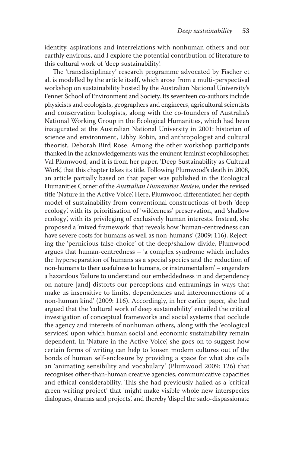identity, aspirations and interrelations with nonhuman others and our earthly environs, and I explore the potential contribution of literature to this cultural work of 'deep sustainability'.

The 'transdisciplinary' research programme advocated by Fischer et al. is modelled by the article itself, which arose from a multi-perspectival workshop on sustainability hosted by the Australian National University's Fenner School of Environment and Society. Its seventeen co-authors include physicists and ecologists, geographers and engineers, agricultural scientists and conservation biologists, along with the co-founders of Australia's National Working Group in the Ecological Humanities, which had been inaugurated at the Australian National University in 2001: historian of science and environment, Libby Robin, and anthropologist and cultural theorist, Deborah Bird Rose. Among the other workshop participants thanked in the acknowledgements was the eminent feminist ecophilosopher, Val Plumwood, and it is from her paper, 'Deep Sustainability as Cultural Work', that this chapter takes its title. Following Plumwood's death in 2008, an article partially based on that paper was published in the Ecological Humanities Corner of the *Australian Humanities Review* , under the revised title 'Nature in the Active Voice'. Here, Plumwood differentiated her depth model of sustainability from conventional constructions of both 'deep ecology', with its prioritisation of 'wilderness' preservation, and 'shallow ecology', with its privileging of exclusively human interests. Instead, she proposed a 'mixed framework' that reveals how 'human-centredness can have severe costs for humans as well as non-humans' (2009: 116). Rejecting the 'pernicious false-choice' of the deep/shallow divide, Plumwood argues that human-centredness – 'a complex syndrome which includes the hyperseparation of humans as a special species and the reduction of non-humans to their usefulness to humans, or instrumentalism' – engenders a hazardous 'failure to understand our embeddedness in and dependency on nature [and] distorts our perceptions and enframings in ways that make us insensitive to limits, dependencies and interconnections of a non-human kind' (2009: 116). Accordingly, in her earlier paper, she had argued that the 'cultural work of deep sustainability' entailed the critical investigation of conceptual frameworks and social systems that occlude the agency and interests of nonhuman others, along with the 'ecological services', upon which human social and economic sustainability remain dependent. In 'Nature in the Active Voice', she goes on to suggest how certain forms of writing can help to loosen modern cultures out of the bonds of human self-enclosure by providing a space for what she calls an 'animating sensibility and vocabulary' (Plumwood 2009: 126) that recognises other-than-human creative agencies, communicative capacities and ethical considerability. This she had previously hailed as a 'critical green writing project' that 'might make visible whole new interspecies dialogues, dramas and projects', and thereby 'dispel the sado-dispassionate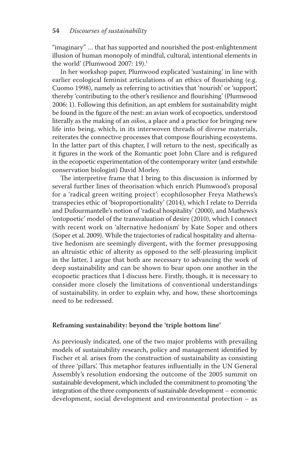"imaginary" … that has supported and nourished the post-enlightenment illusion of human monopoly of mindful, cultural, intentional elements in the world' (Plumwood 2007:  $19$ ).<sup>1</sup>

 In her workshop paper, Plumwood explicated 'sustaining' in line with earlier ecological feminist articulations of an ethics of flourishing (e.g. Cuomo 1998), namely as referring to activities that 'nourish' or 'support', thereby 'contributing to the other's resilience and flourishing' (Plumwood 2006: 1). Following this definition, an apt emblem for sustainability might be found in the figure of the nest: an avian work of ecopoetics, understood literally as the making of an *oikos* , a place and a practice for bringing new life into being, which, in its interwoven threads of diverse materials, reiterates the connective processes that compose flourishing ecosystems. In the latter part of this chapter, I will return to the nest, specifically as it figures in the work of the Romantic poet John Clare and is refigured in the ecopoetic experimentation of the contemporary writer (and erstwhile conservation biologist) David Morley.

The interpretive frame that I bring to this discussion is informed by several further lines of theorisation which enrich Plumwood's proposal for a 'radical green writing project': ecophilosopher Freya Mathews's transpecies ethic of 'bioproportionality' (2014), which I relate to Derrida and Dufourmantelle's notion of 'radical hospitality' (2000), and Mathews's 'ontopoetic' model of the transvaluation of desire (2010), which I connect with recent work on 'alternative hedonism' by Kate Soper and others (Soper et al. 2009). While the trajectories of radical hospitality and alternative hedonism are seemingly divergent, with the former presupposing an altruistic ethic of alterity as opposed to the self-pleasuring implicit in the latter, I argue that both are necessary to advancing the work of deep sustainability and can be shown to bear upon one another in the ecopoetic practices that I discuss here. Firstly, though, it is necessary to consider more closely the limitations of conventional understandings of sustainability, in order to explain why, and how, these shortcomings need to be redressed.

#### **Reframing sustainability: beyond the 'triple bottom line'**

 As previously indicated, one of the two major problems with prevailing models of sustainability research, policy and management identified by Fischer et al. arises from the construction of sustainability as consisting of three 'pillars'. This metaphor features influentially in the UN General Assembly's resolution endorsing the outcome of the 2005 summit on sustainable development, which included the commitment to promoting 'the integration of the three components of sustainable development – economic development, social development and environmental protection – as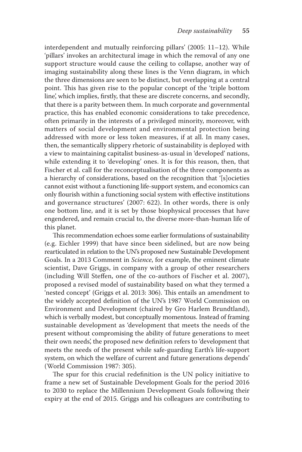interdependent and mutually reinforcing pillars'  $(2005: 11-12)$ . While 'pillars' invokes an architectural image in which the removal of any one support structure would cause the ceiling to collapse, another way of imaging sustainability along these lines is the Venn diagram, in which the three dimensions are seen to be distinct, but overlapping at a central point. This has given rise to the popular concept of the 'triple bottom line', which implies, firstly, that these are discrete concerns, and secondly, that there is a parity between them. In much corporate and governmental practice, this has enabled economic considerations to take precedence, often primarily in the interests of a privileged minority, moreover, with matters of social development and environmental protection being addressed with more or less token measures, if at all. In many cases, then, the semantically slippery rhetoric of sustainability is deployed with a view to maintaining capitalist business-as-usual in 'developed' nations, while extending it to 'developing' ones. It is for this reason, then, that Fischer et al. call for the reconceptualisation of the three components as a hierarchy of considerations, based on the recognition that '[s]ocieties cannot exist without a functioning life-support system, and economics can only flourish within a functioning social system with effective institutions and governance structures' (2007: 622). In other words, there is only one bottom line, and it is set by those biophysical processes that have engendered, and remain crucial to, the diverse more-than-human life of this planet.

This recommendation echoes some earlier formulations of sustainability (e.g. Eichler 1999) that have since been sidelined, but are now being rearticulated in relation to the UN's proposed new Sustainable Development Goals. In a 2013 Comment in *Science* , for example, the eminent climate scientist, Dave Griggs, in company with a group of other researchers (including Will Steffen, one of the co-authors of Fischer et al.  $2007$ ), proposed a revised model of sustainability based on what they termed a 'nested concept' (Griggs et al. 2013: 306). This entails an amendment to the widely accepted definition of the UN's 1987 World Commission on Environment and Development (chaired by Gro Harlem Brundtland), which is verbally modest, but conceptually momentous. Instead of framing sustainable development as 'development that meets the needs of the present without compromising the ability of future generations to meet their own needs', the proposed new definition refers to 'development that meets the needs of the present while safe-guarding Earth's life-support system, on which the welfare of current and future generations depends' (World Commission 1987: 305).

The spur for this crucial redefinition is the UN policy initiative to frame a new set of Sustainable Development Goals for the period 2016 to 2030 to replace the Millennium Development Goals following their expiry at the end of 2015. Griggs and his colleagues are contributing to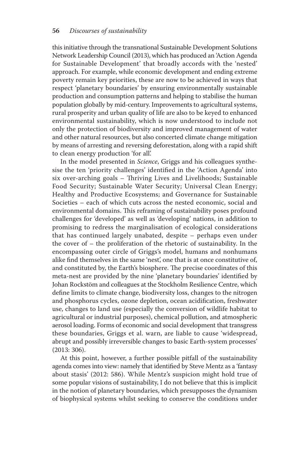this initiative through the transnational Sustainable Development Solutions Network Leadership Council (2013), which has produced an 'Action Agenda for Sustainable Development' that broadly accords with the 'nested' approach. For example, while economic development and ending extreme poverty remain key priorities, these are now to be achieved in ways that respect 'planetary boundaries' by ensuring environmentally sustainable production and consumption patterns and helping to stabilise the human population globally by mid-century. Improvements to agricultural systems, rural prosperity and urban quality of life are also to be keyed to enhanced environmental sustainability, which is now understood to include not only the protection of biodiversity and improved management of water and other natural resources, but also concerted climate change mitigation by means of arresting and reversing deforestation, along with a rapid shift to clean energy production 'for all'.

In the model presented in *Science*, Griggs and his colleagues synthesise the ten 'priority challenges' identified in the 'Action Agenda' into six over-arching goals – Thriving Lives and Livelihoods; Sustainable Food Security; Sustainable Water Security; Universal Clean Energy; Healthy and Productive Ecosystems; and Governance for Sustainable Societies – each of which cuts across the nested economic, social and environmental domains. This reframing of sustainability poses profound challenges for 'developed' as well as 'developing' nations, in addition to promising to redress the marginalisation of ecological considerations that has continued largely unabated, despite – perhaps even under the cover of – the proliferation of the rhetoric of sustainability. In the encompassing outer circle of Griggs's model, humans and nonhumans alike find themselves in the same 'nest', one that is at once constitutive of, and constituted by, the Earth's biosphere. The precise coordinates of this meta-nest are provided by the nine 'planetary boundaries' identified by Johan Rockstöm and colleagues at the Stockholm Resilience Centre, which define limits to climate change, biodiversity loss, changes to the nitrogen and phosphorus cycles, ozone depletion, ocean acidification, freshwater use, changes to land use (especially the conversion of wildlife habitat to agricultural or industrial purposes), chemical pollution, and atmospheric aerosol loading. Forms of economic and social development that transgress these boundaries, Griggs et al. warn, are liable to cause 'widespread, abrupt and possibly irreversible changes to basic Earth-system processes'  $(2013:306).$ 

 At this point, however, a further possible pitfall of the sustainability agenda comes into view: namely that identified by Steve Mentz as a 'fantasy about stasis' (2012: 586). While Mentz's suspicion might hold true of some popular visions of sustainability, I do not believe that this is implicit in the notion of planetary boundaries, which presupposes the dynamism of biophysical systems whilst seeking to conserve the conditions under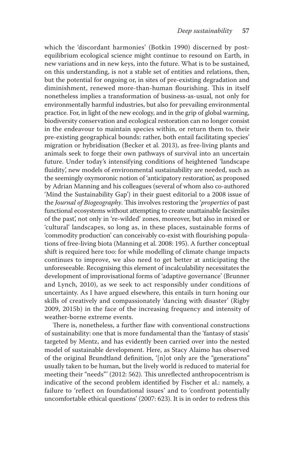which the 'discordant harmonies' (Botkin 1990) discerned by postequilibrium ecological science might continue to resound on Earth, in new variations and in new keys, into the future. What is to be sustained, on this understanding, is not a stable set of entities and relations, then, but the potential for ongoing or, in sites of pre-existing degradation and diminishment, renewed more-than-human flourishing. This in itself nonetheless implies a transformation of business-as-usual, not only for environmentally harmful industries, but also for prevailing environmental practice. For, in light of the new ecology, and in the grip of global warming, biodiversity conservation and ecological restoration can no longer consist in the endeavour to maintain species within, or return them to, their pre-existing geographical bounds: rather, both entail facilitating species' migration or hybridisation ( Becker et al. 2013 ), as free-living plants and animals seek to forge their own pathways of survival into an uncertain future. Under today's intensifying conditions of heightened 'landscape fluidity', new models of environmental sustainability are needed, such as the seemingly oxymoronic notion of 'anticipatory restoration', as proposed by Adrian Manning and his colleagues (several of whom also co-authored 'Mind the Sustainability Gap') in their guest editorial to a 2008 issue of the *Journal of Biogeography*. This involves restoring the *'properties* of past functional ecosystems without attempting to create unattainable facsimiles of the past', not only in 're-wilded' zones, moreover, but also in mixed or 'cultural' landscapes, so long as, in these places, sustainable forms of 'commodity production' can conceivably co-exist with flourishing populations of free-living biota (Manning et al. 2008: 195). A further conceptual shift is required here too: for while modelling of climate change impacts continues to improve, we also need to get better at anticipating the unforeseeable. Recognising this element of incalculability necessitates the development of improvisational forms of 'adaptive governance' ( Brunner and Lynch, 2010), as we seek to act responsibly under conditions of uncertainty. As I have argued elsewhere, this entails in turn honing our skills of creatively and compassionately 'dancing with disaster' ( Rigby 2009, 2015b) in the face of the increasing frequency and intensity of weather-borne extreme events.

There is, nonetheless, a further flaw with conventional constructions of sustainability: one that is more fundamental than the 'fantasy of stasis' targeted by Mentz, and has evidently been carried over into the nested model of sustainable development. Here, as Stacy Alaimo has observed of the original Brundtland definition, '[n]ot only are the "generations" usually taken to be human, but the lively world is reduced to material for meeting their "needs"' (2012: 562). This unreflected anthropocentrism is indicative of the second problem identified by Fischer et al.: namely, a failure to 'reflect on foundational issues' and to 'confront potentially uncomfortable ethical questions' ( 2007 : 623). It is in order to redress this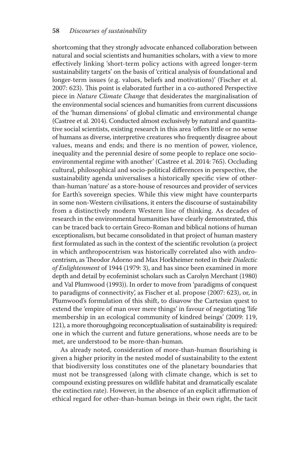shortcoming that they strongly advocate enhanced collaboration between natural and social scientists and humanities scholars, with a view to more effectively linking 'short-term policy actions with agreed longer-term sustainability targets' on the basis of 'critical analysis of foundational and longer-term issues (e.g. values, beliefs and motivations)' (Fischer et al. 2007: 623). This point is elaborated further in a co-authored Perspective piece in *Nature Climate Change* that desiderates the marginalisation of the environmental social sciences and humanities from current discussions of the 'human dimensions' of global climatic and environmental change (Castree et al. 2014). Conducted almost exclusively by natural and quantitative social scientists, existing research in this area 'offers little or no sense of humans as diverse, interpretive creatures who frequently disagree about values, means and ends; and there is no mention of power, violence, inequality and the perennial desire of some people to replace one socioenvironmental regime with another' (Castree et al. 2014: 765). Occluding cultural, philosophical and socio-political differences in perspective, the sustainability agenda universalises a historically specific view of otherthan-human 'nature' as a store-house of resources and provider of services for Earth's sovereign species. While this view might have counterparts in some non-Western civilisations, it enters the discourse of sustainability from a distinctively modern Western line of thinking. As decades of research in the environmental humanities have clearly demonstrated, this can be traced back to certain Greco-Roman and biblical notions of human exceptionalism, but became consolidated in that project of human mastery first formulated as such in the context of the scientific revolution (a project in which anthropocentrism was historically correlated also with androcentrism, as Th eodor Adorno and Max Horkheimer noted in their *Dialectic*  of *Enlightenment* of 1944 (1979: 3), and has since been examined in more depth and detail by ecofeminist scholars such as Carolyn Merchant (1980) and Val Plumwood (1993)). In order to move from 'paradigms of conquest to paradigms of connectivity', as Fischer et al. propose (2007: 623), or, in Plumwood's formulation of this shift, to disavow the Cartesian quest to extend the 'empire of man over mere things' in favour of negotiating 'life membership in an ecological community of kindred beings' (2009: 119, 121), a more thoroughgoing reconceptualisation of sustainability is required: one in which the current and future generations, whose needs are to be met, are understood to be more-than-human.

As already noted, consideration of more-than-human flourishing is given a higher priority in the nested model of sustainability to the extent that biodiversity loss constitutes one of the planetary boundaries that must not be transgressed (along with climate change, which is set to compound existing pressures on wildlife habitat and dramatically escalate the extinction rate). However, in the absence of an explicit affirmation of ethical regard for other-than-human beings in their own right, the tacit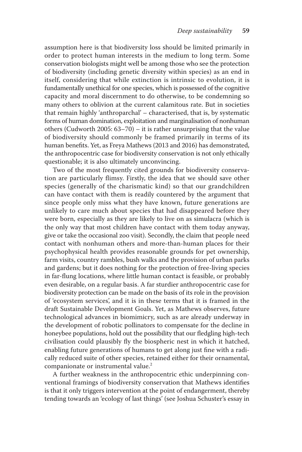assumption here is that biodiversity loss should be limited primarily in order to protect human interests in the medium to long term. Some conservation biologists might well be among those who see the protection of biodiversity (including genetic diversity within species) as an end in itself, considering that while extinction is intrinsic to evolution, it is fundamentally unethical for one species, which is possessed of the cognitive capacity and moral discernment to do otherwise, to be condemning so many others to oblivion at the current calamitous rate. But in societies that remain highly 'anthroparchal' – characterised, that is, by systematic forms of human domination, exploitation and marginalisation of nonhuman others (Cudworth 2005:  $63-70$ ) – it is rather unsurprising that the value of biodiversity should commonly be framed primarily in terms of its human benefits. Yet, as Freya Mathews (2013 and 2016) has demonstrated, the anthropocentric case for biodiversity conservation is not only ethically questionable; it is also ultimately unconvincing.

 Two of the most frequently cited grounds for biodiversity conservation are particularly flimsy. Firstly, the idea that we should save other species (generally of the charismatic kind) so that our grandchildren can have contact with them is readily countered by the argument that since people only miss what they have known, future generations are unlikely to care much about species that had disappeared before they were born, especially as they are likely to live on as simulacra (which is the only way that most children have contact with them today anyway, give or take the occasional zoo visit). Secondly, the claim that people need contact with nonhuman others and more-than-human places for their psychophysical health provides reasonable grounds for pet ownership, farm visits, country rambles, bush walks and the provision of urban parks and gardens; but it does nothing for the protection of free-living species in far-flung locations, where little human contact is feasible, or probably even desirable, on a regular basis. A far sturdier anthropocentric case for biodiversity protection can be made on the basis of its role in the provision of 'ecosystem services', and it is in these terms that it is framed in the draft Sustainable Development Goals. Yet, as Mathews observes, future technological advances in biomimicry, such as are already underway in the development of robotic pollinators to compensate for the decline in honeybee populations, hold out the possibility that our fledgling high-tech civilisation could plausibly fly the biospheric nest in which it hatched, enabling future generations of humans to get along just fine with a radically reduced suite of other species, retained either for their ornamental, companionate or instrumental value.<sup>2</sup>

 A further weakness in the anthropocentric ethic underpinning conventional framings of biodiversity conservation that Mathews identifies is that it only triggers intervention at the point of endangerment, thereby tending towards an 'ecology of last things' (see Joshua Schuster's essay in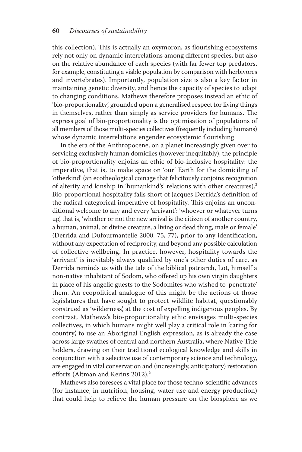this collection). This is actually an oxymoron, as flourishing ecosystems rely not only on dynamic interrelations among different species, but also on the relative abundance of each species (with far fewer top predators, for example, constituting a viable population by comparison with herbivores and invertebrates). Importantly, population size is also a key factor in maintaining genetic diversity, and hence the capacity of species to adapt to changing conditions. Mathews therefore proposes instead an ethic of 'bio-proportionality', grounded upon a generalised respect for living things in themselves, rather than simply as service providers for humans. The express goal of bio-proportionality is the optimisation of populations of all members of those multi-species collectives (frequently including humans) whose dynamic interrelations engender ecosystemic flourishing.

 In the era of the Anthropocene, on a planet increasingly given over to servicing exclusively human domiciles (however inequitably), the principle of bio-proportionality enjoins an ethic of bio-inclusive hospitality: the imperative, that is, to make space on 'our' Earth for the domiciling of 'otherkind' (an ecotheological coinage that felicitously conjoins recognition of alterity and kinship in 'humankind's' relations with other creatures).<sup>3</sup> Bio-proportional hospitality falls short of Jacques Derrida's definition of the radical categorical imperative of hospitality. This enjoins an unconditional welcome to any and every 'arrivant': 'whoever or whatever turns up', that is, 'whether or not the new arrival is the citizen of another country, a human, animal, or divine creature, a living or dead thing, male or female' (Derrida and Dufourmantelle  $2000: 75, 77$ ), prior to any identification, without any expectation of reciprocity, and beyond any possible calculation of collective wellbeing. In practice, however, hospitality towards the 'arrivant' is inevitably always qualified by one's other duties of care, as Derrida reminds us with the tale of the biblical patriarch, Lot, himself a non-native inhabitant of Sodom, who offered up his own virgin daughters in place of his angelic guests to the Sodomites who wished to 'penetrate' them. An ecopolitical analogue of this might be the actions of those legislatures that have sought to protect wildlife habitat, questionably construed as 'wilderness', at the cost of expelling indigenous peoples. By contrast, Mathews's bio-proportionality ethic envisages multi-species collectives, in which humans might well play a critical role in 'caring for country', to use an Aboriginal English expression, as is already the case across large swathes of central and northern Australia, where Native Title holders, drawing on their traditional ecological knowledge and skills in conjunction with a selective use of contemporary science and technology, are engaged in vital conservation and (increasingly, anticipatory) restoration efforts (Altman and Kerins 2012).<sup>4</sup>

Mathews also foresees a vital place for those techno-scientific advances (for instance, in nutrition, housing, water use and energy production) that could help to relieve the human pressure on the biosphere as we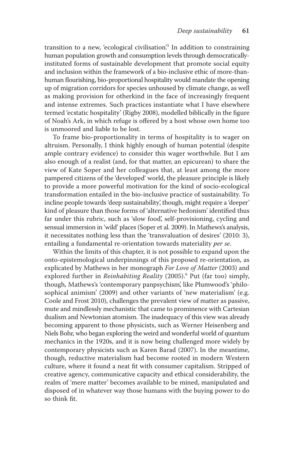transition to a new, 'ecological civilisation'.<sup>5</sup> In addition to constraining human population growth and consumption levels through democraticallyinstituted forms of sustainable development that promote social equity and inclusion within the framework of a bio-inclusive ethic of more-thanhuman flourishing, bio-proportional hospitality would mandate the opening up of migration corridors for species unhoused by climate change, as well as making provision for otherkind in the face of increasingly frequent and intense extremes. Such practices instantiate what I have elsewhere termed 'ecstatic hospitality' (Rigby 2008), modelled biblically in the figure of Noah's Ark, in which refuge is offered by a host whose own home too is unmoored and liable to be lost.

 To frame bio-proportionality in terms of hospitality is to wager on altruism. Personally, I think highly enough of human potential (despite ample contrary evidence) to consider this wager worthwhile. But I am also enough of a realist (and, for that matter, an epicurean) to share the view of Kate Soper and her colleagues that, at least among the more pampered citizens of the 'developed' world, the pleasure principle is likely to provide a more powerful motivation for the kind of socio-ecological transformation entailed in the bio-inclusive practice of sustainability. To incline people towards 'deep sustainability', though, might require a 'deeper' kind of pleasure than those forms of 'alternative hedonism' identified thus far under this rubric, such as 'slow food', self-provisioning, cycling and sensual immersion in 'wild' places (Soper et al. 2009). In Mathews's analysis, it necessitates nothing less than the 'transvaluation of desires' (2010: 3), entailing a fundamental re-orientation towards materiality *per se* .

 Within the limits of this chapter, it is not possible to expand upon the onto-epistemological underpinnings of this proposed re-orientation, as explicated by Mathews in her monograph *For Love of Matter* (2003) and explored further in *Reinhabiting Reality* (2005).<sup>6</sup> Put (far too) simply, though, Mathews's 'contemporary panpsychism', like Plumwood's 'philosophical animism' (2009) and other variants of 'new materialism' (e.g. Coole and Frost 2010), challenges the prevalent view of matter as passive, mute and mindlessly mechanistic that came to prominence with Cartesian dualism and Newtonian atomism. The inadequacy of this view was already becoming apparent to those physicists, such as Werner Heisenberg and Niels Bohr, who began exploring the weird and wonderful world of quantum mechanics in the 1920s, and it is now being challenged more widely by contemporary physicists such as Karen Barad (2007). In the meantime, though, reductive materialism had become rooted in modern Western culture, where it found a neat fit with consumer capitalism. Stripped of creative agency, communicative capacity and ethical considerability, the realm of 'mere matter' becomes available to be mined, manipulated and disposed of in whatever way those humans with the buying power to do so think fit.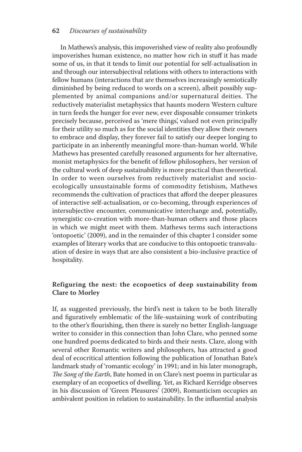#### **62** *Discourses of sustainability*

In Mathews's analysis, this impoverished view of reality also profoundly impoverishes human existence, no matter how rich in stuff it has made some of us, in that it tends to limit our potential for self-actualisation in and through our intersubjectival relations with others to interactions with fellow humans (interactions that are themselves increasingly semiotically diminished by being reduced to words on a screen), albeit possibly supplemented by animal companions and/or supernatural deities. The reductively materialist metaphysics that haunts modern Western culture in turn feeds the hunger for ever new, ever disposable consumer trinkets precisely because, perceived as 'mere things', valued not even principally for their utility so much as for the social identities they allow their owners to embrace and display, they forever fail to satisfy our deeper longing to participate in an inherently meaningful more-than-human world. While Mathews has presented carefully reasoned arguments for her alternative, monist metaphysics for the benefit of fellow philosophers, her version of the cultural work of deep sustainability is more practical than theoretical. In order to ween ourselves from reductively materialist and socioecologically unsustainable forms of commodity fetishism, Mathews recommends the cultivation of practices that afford the deeper pleasures of interactive self-actualisation, or co-becoming, through experiences of intersubjective encounter, communicative interchange and, potentially, synergistic co-creation with more-than-human others and those places in which we might meet with them. Mathews terms such interactions 'ontopoetic' ( 2009 ), and in the remainder of this chapter I consider some examples of literary works that are conducive to this ontopoetic transvaluation of desire in ways that are also consistent a bio-inclusive practice of hospitality.

#### **Refiguring the nest: the ecopoetics of deep sustainability from Clare to Morley**

If, as suggested previously, the bird's nest is taken to be both literally and figuratively emblematic of the life-sustaining work of contributing to the other's flourishing, then there is surely no better English-language writer to consider in this connection than John Clare, who penned some one hundred poems dedicated to birds and their nests. Clare, along with several other Romantic writers and philosophers, has attracted a good deal of ecocritical attention following the publication of Jonathan Bate's landmark study of 'romantic ecology' in 1991; and in his later monograph, *The Song of the Earth*, Bate homed in on Clare's nest poems in particular as exemplary of an ecopoetics of dwelling. Yet, as Richard Kerridge observes in his discussion of 'Green Pleasures' ( 2009 ), Romanticism occupies an ambivalent position in relation to sustainability. In the influential analysis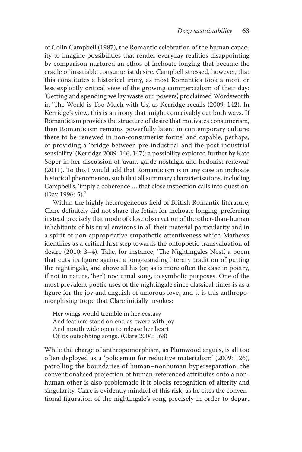of Colin Campbell (1987), the Romantic celebration of the human capacity to imagine possibilities that render everyday realities disappointing by comparison nurtured an ethos of inchoate longing that became the cradle of insatiable consumerist desire. Campbell stressed, however, that this constitutes a historical irony, as most Romantics took a more or less explicitly critical view of the growing commercialism of their day: 'Getting and spending we lay waste our powers', proclaimed Wordsworth in 'The World is Too Much with Us', as Kerridge recalls (2009: 142). In Kerridge's view, this is an irony that 'might conceivably cut both ways. If Romanticism provides the structure of desire that motivates consumerism, then Romanticism remains powerfully latent in contemporary culture: there to be renewed in non-consumerist forms' and capable, perhaps, of providing a 'bridge between pre-industrial and the post-industrial sensibility' (Kerridge 2009: 146, 147): a possibility explored further by Kate Soper in her discussion of 'avant-garde nostalgia and hedonist renewal' (2011). To this I would add that Romanticism is in any case an inchoate historical phenomenon, such that all summary characterisations, including Campbell's, 'imply a coherence ... that close inspection calls into question' (Day 1996:  $5$ ).<sup>7</sup>

Within the highly heterogeneous field of British Romantic literature, Clare definitely did not share the fetish for inchoate longing, preferring instead precisely that mode of close observation of the other-than-human inhabitants of his rural environs in all their material particularity and in a spirit of non-appropriative empathetic attentiveness which Mathews identifies as a critical first step towards the ontopoetic transvaluation of desire (2010: 3-4). Take, for instance, 'The Nightingales Nest', a poem that cuts its figure against a long-standing literary tradition of putting the nightingale, and above all his (or, as is more often the case in poetry, if not in nature, 'her') nocturnal song, to symbolic purposes. One of the most prevalent poetic uses of the nightingale since classical times is as a figure for the joy and anguish of amorous love, and it is this anthropomorphising trope that Clare initially invokes:

 Her wings would tremble in her ecstasy And feathers stand on end as 'twere with joy And mouth wide open to release her heart Of its outsobbing songs. (Clare 2004: 168)

 While the charge of anthropomorphism, as Plumwood argues, is all too often deployed as a 'policeman for reductive materialism' (2009: 126), patrolling the boundaries of human–nonhuman hyperseparation, the conventionalised projection of human-referenced attributes onto a nonhuman other is also problematic if it blocks recognition of alterity and singularity. Clare is evidently mindful of this risk, as he cites the conventional figuration of the nightingale's song precisely in order to depart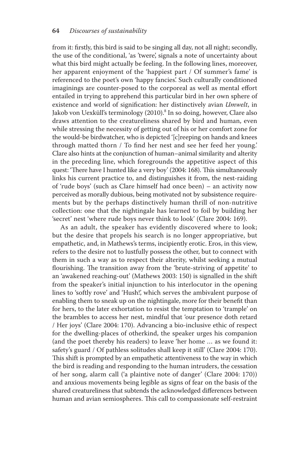from it: firstly, this bird is said to be singing all day, not all night; secondly, the use of the conditional, 'as 'twere', signals a note of uncertainty about what this bird might actually be feeling. In the following lines, moreover, her apparent enjoyment of the 'happiest part / Of summer's fame' is referenced to the poet's own 'happy fancies'. Such culturally conditioned imaginings are counter-posed to the corporeal as well as mental effort entailed in trying to apprehend this particular bird in her own sphere of existence and world of signification: her distinctively avian *Umwelt*, in Jakob von Uexküll's terminology (2010).<sup>8</sup> In so doing, however, Clare also draws attention to the creatureliness shared by bird and human, even while stressing the necessity of getting out of his or her comfort zone for the would-be birdwatcher, who is depicted '[c]reeping on hands and knees through matted thorn / To find her nest and see her feed her young.' Clare also hints at the conjunction of human–animal similarity and alterity in the preceding line, which foregrounds the appetitive aspect of this quest: 'There have I hunted like a very boy' (2004: 168). This simultaneously links his current practice to, and distinguishes it from, the nest-raiding of 'rude boys' (such as Clare himself had once been) – an activity now perceived as morally dubious, being motivated not by subsistence requirements but by the perhaps distinctively human thrill of non-nutritive collection: one that the nightingale has learned to foil by building her 'secret' nest 'where rude boys never think to look' (Clare 2004: 169).

 As an adult, the speaker has evidently discovered where to look; but the desire that propels his search is no longer appropriative, but empathetic, and, in Mathews's terms, incipiently erotic. Eros, in this view, refers to the desire not to lustfully possess the other, but to connect with them in such a way as to respect their alterity, whilst seeking a mutual flourishing. The transition away from the 'brute-striving of appetite' to an 'awakened reaching-out' (Mathews 2003: 150) is signalled in the shift from the speaker's initial injunction to his interlocutor in the opening lines to 'softly rove' and 'Hush!', which serves the ambivalent purpose of enabling them to sneak up on the nightingale, more for their benefit than for hers, to the later exhortation to resist the temptation to 'trample' on the brambles to access her nest, mindful that 'our presence doth retard / Her joys' (Clare 2004: 170). Advancing a bio-inclusive ethic of respect for the dwelling-places of otherkind, the speaker urges his companion (and the poet thereby his readers) to leave 'her home … as we found it: safety's guard / Of pathless solitudes shall keep it still' (Clare 2004: 170). This shift is prompted by an empathetic attentiveness to the way in which the bird is reading and responding to the human intruders, the cessation of her song, alarm call ('a plaintive note of danger' (Clare 2004: 170)) and anxious movements being legible as signs of fear on the basis of the shared creatureliness that subtends the acknowledged differences between human and avian semiospheres. This call to compassionate self-restraint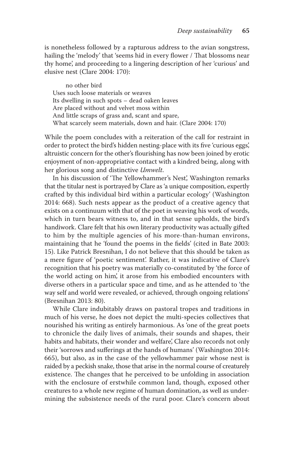is nonetheless followed by a rapturous address to the avian songstress, hailing the 'melody' that 'seems hid in every flower / That blossoms near thy home', and proceeding to a lingering description of her 'curious' and elusive nest (Clare 2004: 170):

 no other bird Uses such loose materials or weaves Its dwelling in such spots – dead oaken leaves Are placed without and velvet moss within And little scraps of grass and, scant and spare, What scarcely seem materials, down and hair. (Clare 2004: 170)

 While the poem concludes with a reiteration of the call for restraint in order to protect the bird's hidden nesting-place with its five 'curious eggs', altruistic concern for the other's flourishing has now been joined by erotic enjoyment of non-appropriative contact with a kindred being, along with her glorious song and distinctive *Umwelt*.

In his discussion of 'The Yellowhammer's Nest', Washington remarks that the titular nest is portrayed by Clare as 'a unique composition, expertly crafted by this individual bird within a particular ecology' ( Washington 2014: 668). Such nests appear as the product of a creative agency that exists on a continuum with that of the poet in weaving his work of words, which in turn bears witness to, and in that sense upholds, the bird's handiwork. Clare felt that his own literary productivity was actually gifted to him by the multiple agencies of his more-than-human environs, maintaining that he 'found the poems in the fields' (cited in Bate 2003: 15). Like Patrick Bresnihan, I do not believe that this should be taken as a mere figure of 'poetic sentiment'. Rather, it was indicative of Clare's recognition that his poetry was materially co-constituted by 'the force of the world acting on him', it arose from his embodied encounters with diverse others in a particular space and time, and as he attended to 'the way self and world were revealed, or achieved, through ongoing relations' (Bresnihan 2013: 80).

 While Clare indubitably draws on pastoral tropes and traditions in much of his verse, he does not depict the multi-species collectives that nourished his writing as entirely harmonious. As 'one of the great poets to chronicle the daily lives of animals, their sounds and shapes, their habits and habitats, their wonder and welfare', Clare also records not only their 'sorrows and sufferings at the hands of humans' (Washington 2014: 665), but also, as in the case of the yellowhammer pair whose nest is raided by a peckish snake, those that arise in the normal course of creaturely existence. The changes that he perceived to be unfolding in association with the enclosure of erstwhile common land, though, exposed other creatures to a whole new regime of human domination, as well as undermining the subsistence needs of the rural poor. Clare's concern about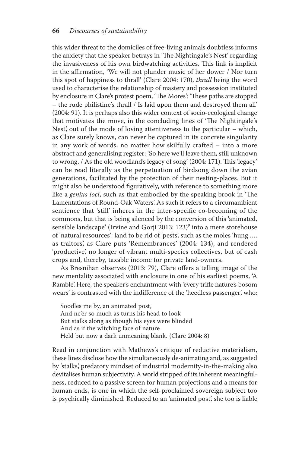this wider threat to the domiciles of free-living animals doubtless informs the anxiety that the speaker betrays in 'The Nightingale's Nest' regarding the invasiveness of his own birdwatching activities. This link is implicit in the affirmation, 'We will not plunder music of her dower / Nor turn this spot of happiness to thrall' (Clare 2004: 170), *thrall* being the word used to characterise the relationship of mastery and possession instituted by enclosure in Clare's protest poem, 'The Mores': 'These paths are stopped – the rude philistine's thrall / Is laid upon them and destroyed them all' (2004: 91). It is perhaps also this wider context of socio-ecological change that motivates the move, in the concluding lines of 'The Nightingale's Nest', out of the mode of loving attentiveness to the particular – which, as Clare surely knows, can never be captured in its concrete singularity in any work of words, no matter how skilfully crafted – into a more abstract and generalising register: 'So here we'll leave them, still unknown to wrong, / As the old woodland's legacy of song' (2004: 171). This 'legacy' can be read literally as the perpetuation of birdsong down the avian generations, facilitated by the protection of their nesting-places. But it might also be understood figuratively, with reference to something more like a *genius loci*, such as that embodied by the speaking brook in 'The Lamentations of Round-Oak Waters'. As such it refers to a circumambient sentience that 'still' inheres in the inter-specific co-becoming of the commons, but that is being silenced by the conversion of this 'animated, sensible landscape' (Irvine and Gorji 2013: 123)<sup>9</sup> into a mere storehouse of 'natural resources': land to be rid of 'pests', such as the moles 'hung …. as traitors', as Clare puts 'Remembrances' ( 2004 : 134), and rendered 'productive', no longer of vibrant multi-species collectives, but of cash crops and, thereby, taxable income for private land-owners.

As Bresnihan observes (2013: 79), Clare offers a telling image of the new mentality associated with enclosure in one of his earliest poems, 'A Ramble'. Here, the speaker's enchantment with 'every trifle nature's bosom wears' is contrasted with the indifference of the 'heedless passenger', who:

 Soodles me by, an animated post, And ne'er so much as turns his head to look But stalks along as though his eyes were blinded And as if the witching face of nature Held but now a dark unmeaning blank. (Clare 2004: 8)

Read in conjunction with Mathews's critique of reductive materialism, these lines disclose how the simultaneously de-animating and, as suggested by 'stalks', predatory mindset of industrial modernity-in-the-making also devitalises human subjectivity. A world stripped of its inherent meaningfulness, reduced to a passive screen for human projections and a means for human ends, is one in which the self-proclaimed sovereign subject too is psychically diminished. Reduced to an 'animated post', she too is liable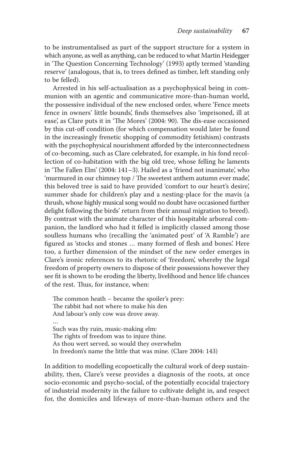to be instrumentalised as part of the support structure for a system in which anyone, as well as anything, can be reduced to what Martin Heidegger in 'The Question Concerning Technology' (1993) aptly termed 'standing reserve' (analogous, that is, to trees defined as timber, left standing only to be felled).

 Arrested in his self-actualisation as a psychophysical being in communion with an agentic and communicative more-than-human world, the possessive individual of the new enclosed order, where 'Fence meets fence in owners' little bounds', finds themselves also 'imprisoned, ill at ease', as Clare puts it in 'The Mores' (2004: 90). The dis-ease occasioned by this cut-off condition (for which compensation would later be found in the increasingly frenetic shopping of commodity fetishism) contrasts with the psychophysical nourishment afforded by the interconnectedness of co-becoming, such as Clare celebrated, for example, in his fond recollection of co-habitation with the big old tree, whose felling he laments in 'The Fallen Elm'  $(2004: 141-3)$ . Hailed as a 'friend not inanimate', who 'murmured in our chimney top / The sweetest anthem autumn ever made', this beloved tree is said to have provided 'comfort to our heart's desire', summer shade for children's play and a nesting-place for the mavis (a thrush, whose highly musical song would no doubt have occasioned further delight following the birds' return from their annual migration to breed). By contrast with the animate character of this hospitable arboreal companion, the landlord who had it felled is implicitly classed among those soulless humans who (recalling the 'animated post' of 'A Ramble') are figured as 'stocks and stones ... many formed of flesh and bones'. Here too, a further dimension of the mindset of the new order emerges in Clare's ironic references to its rhetoric of 'freedom', whereby the legal freedom of property owners to dispose of their possessions however they see fit is shown to be eroding the liberty, livelihood and hence life chances of the rest. Thus, for instance, when:

The common heath  $-$  became the spoiler's prey: The rabbit had not where to make his den And labour's only cow was drove away. … Such was thy ruin, music-making elm: The rights of freedom was to injure thine. As thou wert served, so would they overwhelm In freedom's name the little that was mine. (Clare 2004: 143)

 In addition to modelling ecopoetically the cultural work of deep sustainability, then, Clare's verse provides a diagnosis of the roots, at once socio-economic and psycho-social, of the potentially ecocidal trajectory of industrial modernity in the failure to cultivate delight in, and respect for, the domiciles and lifeways of more-than-human others and the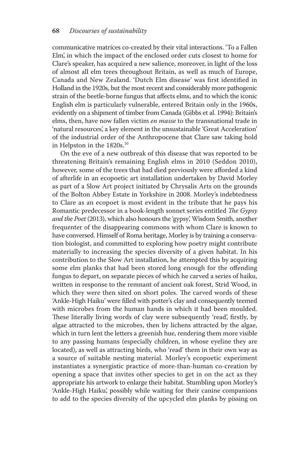communicative matrices co-created by their vital interactions. 'To a Fallen Elm', in which the impact of the enclosed order cuts closest to home for Clare's speaker, has acquired a new salience, moreover, in light of the loss of almost all elm trees throughout Britain, as well as much of Europe, Canada and New Zealand. 'Dutch Elm disease' was first identified in Holland in the 1920s, but the most recent and considerably more pathogenic strain of the beetle-borne fungus that affects elms, and to which the iconic English elm is particularly vulnerable, entered Britain only in the 1960s, evidently on a shipment of timber from Canada (Gibbs et al. 1994): Britain's elms, then, have now fallen victim *en masse* to the transnational trade in 'natural resources', a key element in the unsustainable 'Great Acceleration' of the industrial order of the Anthropocene that Clare saw taking hold in Helpston in the 1820s.<sup>10</sup>

 On the eve of a new outbreak of this disease that was reported to be threatening Britain's remaining English elms in 2010 (Seddon 2010), however, some of the trees that had died previously were afforded a kind of afterlife in an ecopoetic art installation undertaken by David Morley as part of a Slow Art project initiated by Chrysalis Arts on the grounds of the Bolton Abbey Estate in Yorkshire in 2008. Morley's indebtedness to Clare as an ecopoet is most evident in the tribute that he pays his Romantic predecessor in a book-length sonnet series entitled *The Gypsy* and the Poet (2013), which also honours the 'gypsy', Wisdom Smith, another frequenter of the disappearing commons with whom Clare is known to have conversed. Himself of Roma heritage, Morley is by training a conservation biologist, and committed to exploring how poetry might contribute materially to increasing the species diversity of a given habitat. In his contribution to the Slow Art installation, he attempted this by acquiring some elm planks that had been stored long enough for the offending fungus to depart, on separate pieces of which he carved a series of haiku, written in response to the remnant of ancient oak forest, Strid Wood, in which they were then sited on short poles. The carved words of these 'Ankle-High Haiku' were filled with potter's clay and consequently teemed with microbes from the human hands in which it had been moulded. These literally living words of clay were subsequently 'read', firstly, by algae attracted to the microbes, then by lichens attracted by the algae, which in turn lent the letters a greenish hue, rendering them more visible to any passing humans (especially children, in whose eyeline they are located), as well as attracting birds, who 'read' them in their own way as a source of suitable nesting material. Morley's ecopoetic experiment instantiates a synergistic practice of more-than-human co-creation by opening a space that invites other species to get in on the act as they appropriate his artwork to enlarge their habitat. Stumbling upon Morley's 'Ankle-High Haiku', possibly while waiting for their canine companions to add to the species diversity of the upcycled elm planks by pissing on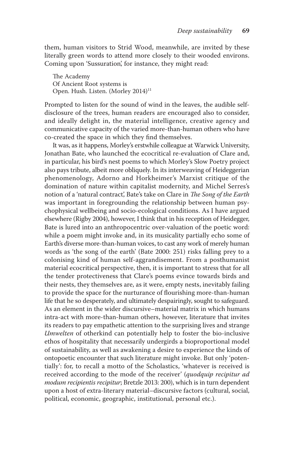them, human visitors to Strid Wood, meanwhile, are invited by these literally green words to attend more closely to their wooded environs. Coming upon 'Sussuration', for instance, they might read:

The Academy Of Ancient Root systems is Open. Hush. Listen. (Morley 2014)<sup>11</sup>

 Prompted to listen for the sound of wind in the leaves, the audible selfdisclosure of the trees, human readers are encouraged also to consider, and ideally delight in, the material intelligence, creative agency and communicative capacity of the varied more-than-human others who have co-created the space in which they find themselves.

It was, as it happens, Morley's erstwhile colleague at Warwick University, Jonathan Bate, who launched the ecocritical re-evaluation of Clare and, in particular, his bird's nest poems to which Morley's Slow Poetry project also pays tribute, albeit more obliquely. In its interweaving of Heideggerian phenomenology, Adorno and Horkheimer's Marxist critique of the domination of nature within capitalist modernity, and Michel Serres's notion of a 'natural contract', Bate's take on Clare in *The Song of the Earth* was important in foregrounding the relationship between human psychophysical wellbeing and socio-ecological conditions. As I have argued elsewhere (Rigby 2004), however, I think that in his reception of Heidegger, Bate is lured into an anthropocentric over-valuation of the poetic word: while a poem might invoke and, in its musicality partially echo some of Earth's diverse more-than-human voices, to cast any work of merely human words as 'the song of the earth' (Bate 2000: 251) risks falling prey to a colonising kind of human self-aggrandisement. From a posthumanist material ecocritical perspective, then, it is important to stress that for all the tender protectiveness that Clare's poems evince towards birds and their nests, they themselves are, as it were, empty nests, inevitably failing to provide the space for the nurturance of flourishing more-than-human life that he so desperately, and ultimately despairingly, sought to safeguard. As an element in the wider discursive–material matrix in which humans intra-act with more-than-human others, however, literature that invites its readers to pay empathetic attention to the surprising lives and strange *Umwelten* of otherkind can potentially help to foster the bio-inclusive ethos of hospitality that necessarily undergirds a bioproportional model of sustainability, as well as awakening a desire to experience the kinds of ontopoetic encounter that such literature might invoke. But only 'potentially': for, to recall a motto of the Scholastics, 'whatever is received is received according to the mode of the receiver' (*quodquip recipitur ad modum recipientis recipitur*; Bretzle 2013: 200), which is in turn dependent upon a host of extra-literary material–discursive factors (cultural, social, political, economic, geographic, institutional, personal etc.).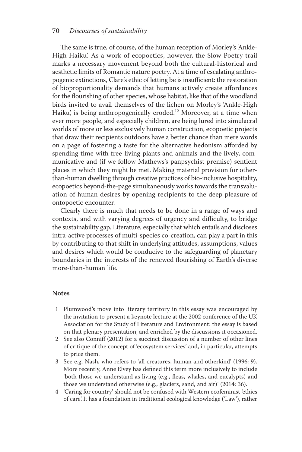#### **70** *Discourses of sustainability*

The same is true, of course, of the human reception of Morley's 'Ankle-High Haiku'. As a work of ecopoetics, however, the Slow Poetry trail marks a necessary movement beyond both the cultural-historical and aesthetic limits of Romantic nature poetry. At a time of escalating anthropogenic extinctions, Clare's ethic of letting be is insufficient: the restoration of bioproportionality demands that humans actively create affordances for the flourishing of other species, whose habitat, like that of the woodland birds invited to avail themselves of the lichen on Morley's 'Ankle-High Haiku', is being anthropogenically eroded.<sup>12</sup> Moreover, at a time when ever more people, and especially children, are being lured into simulacral worlds of more or less exclusively human construction, ecopoetic projects that draw their recipients outdoors have a better chance than mere words on a page of fostering a taste for the alternative hedonism afforded by spending time with free-living plants and animals and the lively, communicative and (if we follow Mathews's panpsychist premise) sentient places in which they might be met. Making material provision for otherthan-human dwelling through creative practices of bio-inclusive hospitality, ecopoetics beyond-the-page simultaneously works towards the transvaluation of human desires by opening recipients to the deep pleasure of ontopoetic encounter.

 Clearly there is much that needs to be done in a range of ways and contexts, and with varying degrees of urgency and difficulty, to bridge the sustainability gap. Literature, especially that which entails and discloses intra-active processes of multi-species co-creation, can play a part in this by contributing to that shift in underlying attitudes, assumptions, values and desires which would be conducive to the safeguarding of planetary boundaries in the interests of the renewed flourishing of Earth's diverse more-than-human life.

#### **Notes**

- 1 Plumwood's move into literary territory in this essay was encouraged by the invitation to present a keynote lecture at the 2002 conference of the UK Association for the Study of Literature and Environment: the essay is based on that plenary presentation, and enriched by the discussions it occasioned.
- 2 See also Conniff (2012) for a succinct discussion of a number of other lines of critique of the concept of 'ecosystem services' and, in particular, attempts to price them.
- 3 See e.g. Nash, who refers to 'all creatures, human and otherkind' (1996: 9). More recently, Anne Elvey has defined this term more inclusively to include 'both those we understand as living (e.g., fleas, whales, and eucalypts) and those we understand otherwise (e.g., glaciers, sand, and air)' (2014: 36).
- 4 'Caring for country' should not be confused with Western ecofeminist 'ethics of care'. It has a foundation in traditional ecological knowledge ('Law'), rather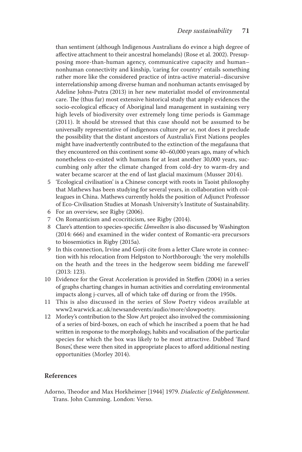than sentiment (although Indigenous Australians do evince a high degree of affective attachment to their ancestral homelands) (Rose et al. 2002). Presupposing more-than-human agency, communicative capacity and human– nonhuman connectivity and kinship, 'caring for country' entails something rather more like the considered practice of intra-active material–discursive interrelationship among diverse human and nonhuman actants envisaged by Adeline Johns-Putra (2013) in her new materialist model of environmental care. The (thus far) most extensive historical study that amply evidences the socio-ecological efficacy of Aboriginal land management in sustaining very high levels of biodiversity over extremely long time periods is Gammage (2011). It should be stressed that this case should not be assumed to be universally representative of indigenous culture *per se* , not does it preclude the possibility that the distant ancestors of Australia's First Nations peoples might have inadvertently contributed to the extinction of the megafauna that they encountered on this continent some 40–60,000 years ago, many of which nonetheless co-existed with humans for at least another 30,000 years, succumbing only after the climate changed from cold-dry to warm-dry and water became scarcer at the end of last glacial maximum (Musser 2014).

- 5 'Ecological civilisation' is a Chinese concept with roots in Taoist philosophy that Mathews has been studying for several years, in collaboration with colleagues in China. Mathews currently holds the position of Adjunct Professor of Eco-Civilisation Studies at Monash University's Institute of Sustainability.
- 6 For an overview, see Rigby (2006).
- 7 On Romanticism and ecocriticism, see Rigby (2014).
- 8 Clare's attention to species-specific *Umwelten* is also discussed by Washington (2014: 666) and examined in the wider context of Romantic-era precursors to biosemiotics in Rigby (2015a).
- 9 In this connection, Irvine and Gorji cite from a letter Clare wrote in connection with his relocation from Helpston to Northborough: 'the very molehills on the heath and the trees in the hedgerow seem bidding me farewell'  $(2013:123)$ .
- 10 Evidence for the Great Acceleration is provided in Steffen (2004) in a series of graphs charting changes in human activities and correlating environmental impacts along j-curves, all of which take off during or from the 1950s.
- 11 This is also discussed in the series of Slow Poetry videos available at www2.warwick.ac.uk/newsandevents/audio/more/slowpoetry .
- 12 Morley's contribution to the Slow Art project also involved the commissioning of a series of bird-boxes, on each of which he inscribed a poem that he had written in response to the morphology, habits and vocalisation of the particular species for which the box was likely to be most attractive. Dubbed 'Bard Boxes', these were then sited in appropriate places to afford additional nesting opportunities (Morley 2014).

#### **References**

Adorno, Theodor and Max Horkheimer [1944] 1979. Dialectic of Enlightenment. Trans. John Cumming. London: Verso.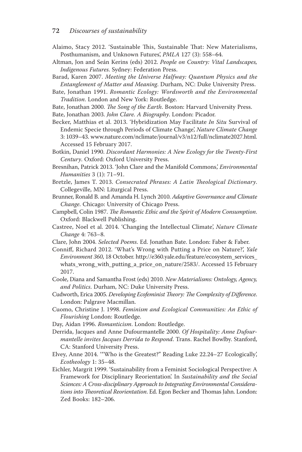- Alaimo, Stacy 2012. 'Sustainable This, Sustainable That: New Materialisms, Posthumanism, and Unknown Futures', *PMLA* 127 (3): 558-64.
- Altman, Jon and Seán Kerins (eds) 2012. People on Country: Vital Landscapes, *Indigenous Futures*. Sydney: Federation Press.
- Barad, Karen 2007. Meeting the Universe Halfway: Quantum Physics and the *Entanglement of Matter and Meaning*. Durham, NC: Duke University Press.
- Bate, Jonathan 1991. *Romantic Ecology: Wordsworth and the Environmental* **Tradition**. London and New York: Routledge.
- Bate, Jonathan 2000. *The Song of the Earth*. Boston: Harvard University Press.
- Bate, Jonathan 2003. *John Clare. A Biography*. London: Picador.
- Becker, Matthias et al. 2013. 'Hybridization May Facilitate *In Situ* Survival of Endemic Specie through Periods of Climate Change ', *Nature Climate Change* 3: 1039-43. www.nature.com/nclimate/journal/v3/n12/full/nclimate2027.html. Accessed 15 February 2017.
- Botkin, Daniel 1990. *Discordant Harmonies: A New Ecology for the Twenty-First* Century. Oxford: Oxford University Press.
- Bresnihan, Patrick 2013. 'John Clare and the Manifold Commons', *Environmental Humanities* 3 (1): 71-91.
- Bretzle, James T. 2013. *Consecrated Phrases: A Latin Theological Dictionary*. Collegeville, MN: Liturgical Press.
- Brunner, Ronald B. and Amanda H. Lynch 2010. *Adaptive Governance and Climate* Change. Chicago: University of Chicago Press.
- Campbell, Colin 1987. *The Romantic Ethic and the Spirit of Modern Consumption*. Oxford: Blackwell Publishing.
- Castree, Noel et al. 2014. 'Changing the Intellectual Climate', *Nature Climate Change* 4: 763-8.
- Clare, John 2004. *Selected Poems*. Ed. Jonathan Bate. London: Faber & Faber.
- Conniff, Richard 2012. 'What's Wrong with Putting a Price on Nature?', Yale *Environment 360* , 18 October . http://e360.yale.edu/feature/ecosystem\_services\_ whats\_wrong\_with\_putting\_a\_price\_on\_nature/2583/ . Accessed 15 February 2017.
- Coole, Diana and Samantha Frost (eds) 2010. *New Materialisms: Ontology, Agency,* and Politics. Durham, NC: Duke University Press.
- Cudworth, Erica 2005. *Developing Ecofeminist Theory: The Complexity of Difference*. London: Palgrave Macmillan.
- Cuomo, Christine J. 1998. *Feminism and Ecological Communities: An Ethic of* **Flourishing London: Routledge.**
- Day, Aidan 1996. *Romanticism*. London: Routledge.
- Derrida, Jacques and Anne Dufourmantelle 2000. Of Hospitality: Anne Dufour*mantelle invites Jacques Derrida to Respond*. Trans. Rachel Bowlby. Stanford, CA: Stanford University Press.
- Elvey, Anne 2014. "Who is the Greatest?" Reading Luke 22.24-27 Ecologically', *Ecotheology* 1: 35-48.
- Eichler, Margrit 1999. 'Sustainability from a Feminist Sociological Perspective: A Framework for Disciplinary Reorientation'. In *Sustainability and the Social Sciences: A Cross-disciplinary Approach to Integrating Environmental Considerations into Theoretical Reorientation*. Ed. Egon Becker and Thomas Jahn. London: Zed Books: 182-206.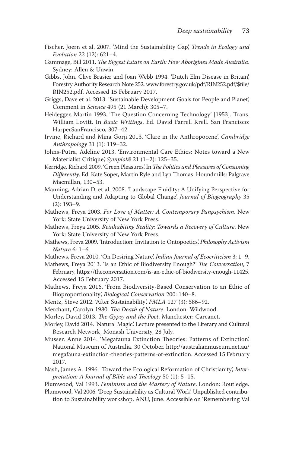- Fischer, Joern et al. 2007. 'Mind the Sustainability Gap', *Trends in Ecology and Evolution* 22 (12): 621-4.
- Gammage, Bill 2011. *The Biggest Estate on Earth: How Aborigines Made Australia*. Sydney: Allen & Unwin.
- Gibbs, John, Clive Brasier and Joan Webb 1994. 'Dutch Elm Disease in Britain', Forestry Authority Research Note 252. www.forestry.gov.uk/pdf/RIN252.pdf/\$file/ RIN252.pdf. Accessed 15 February 2017.
- Griggs, Dave et al. 2013. 'Sustainable Development Goals for People and Planet', Comment in *Science* 495 (21 March): 305-7.
- Heidegger, Martin 1993. 'The Question Concerning Technology' [1953]. Trans. William Lovitt. In *Basic Writings*. Ed. David Farrell Krell. San Francisco: HarperSanFrancisco, 307-42.
- Irvine, Richard and Mina Gorji 2013. 'Clare in the Anthropocene', Cambridge *Anthropology* 31 (1): 119-32.
- Johns-Putra, Adeline 2013. 'Environmental Care Ethics: Notes toward a New Materialist Critique', *Symplok*  $\bar{e}$  21 (1-2): 125-35.
- Kerridge, Richard 2009. 'Green Pleasures'. In *The Politics and Pleasures of Consuming* Differently. Ed. Kate Soper, Martin Ryle and Lyn Thomas. Houndmills: Palgrave Macmillan, 130-53.
- Manning, Adrian D. et al. 2008. 'Landscape Fluidity: A Unifying Perspective for Understanding and Adapting to Global Change', *Journal of Biogeography* 35  $(2)$ : 193-9.
- Mathews, Freya 2003. For Love of Matter: A Contemporary Panpsychism. New York: State University of New York Press.
- Mathews, Freya 2005. *Reinhabiting Reality: Towards a Recovery of Culture*. New York: State University of New York Press.
- Mathews , Freya 2009 . ' Introduction: Invitation to Ontopoetics ', *Philosophy Activism Nature* 6: 1-6.
- Mathews, Freya 2010. 'On Desiring Nature', *Indian Journal of Ecocriticism* 3: 1-9.
- Mathews, Freya 2013. 'Is an Ethic of Biodiversity Enough?' *The Conversation*, 7 February, https://theconversation.com/is-an-ethic-of-biodiversity-enough-11425. Accessed 15 February 2017.
- Mathews, Freya 2016. 'From Biodiversity-Based Conservation to an Ethic of Bioproportionality, *Biological Conservation* 200: 140-8.
- Mentz, Steve 2012. 'After Sustainability', *PMLA* 127 (3): 586-92.
- Merchant, Carolyn 1980. *The Death of Nature*. London: Wildwood.
- Morley, David 2013. *The Gypsy and the Poet*. Manchester: Carcanet.
- Morley, David 2014. 'Natural Magic'. Lecture presented to the Literary and Cultural Research Network, Monash University, 28 July.
- Musser, Anne 2014. 'Megafauna Extinction Theories: Patterns of Extinction'. National Museum of Australia. 30 October . http://australianmuseum.net.au/ megafauna-extinction-theories-patterns-of-extinction . Accessed 15 February 2017.
- Nash, James A. 1996. 'Toward the Ecological Reformation of Christianity', Inter*pretation: A Journal of Bible and Theology* 50 (1): 5-15.

Plumwood, Val 1993. Feminism and the Mastery of Nature. London: Routledge.

Plumwood, Val 2006. 'Deep Sustainability as Cultural Work'. Unpublished contribution to Sustainability workshop, ANU, June. Accessible on 'Remembering Val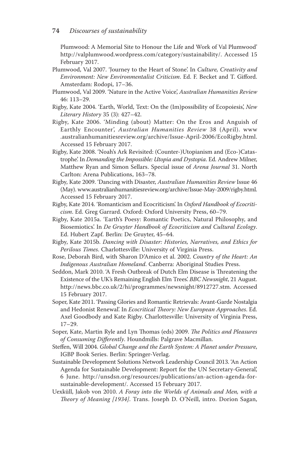Plumwood: A Memorial Site to Honour the Life and Work of Val Plumwood' http://valplumwood.wordpress.com/category/sustainability/. Accessed 15 February 2017.

- Plumwood, Val 2007. 'Journey to the Heart of Stone'. In *Culture, Creativity and* Environment: New Environmentalist Criticism. Ed. F. Becket and T. Gifford. Amsterdam: Rodopi, 17-36.
- Plumwood, Val 2009. 'Nature in the Active Voice', *Australian Humanities Review* 46: 113-29.
- Rigby , Kate 2004 . ' Earth, World, Text: On the (Im)possibility of Ecopoiesis ', *New Literary History* 35 (3): 427-42.
- Rigby, Kate 2006. 'Minding (about) Matter: On the Eros and Anguish of Earthly Encounter', *Australian Humanities Review* 38 (April). www .australianhumanitiesreview.org/archive/Issue-April-2006/EcoRigby.html . Accessed 15 February 2017.
- Rigby, Kate 2008. 'Noah's Ark Revisited: (Counter-)Utopianism and (Eco-)Catastrophe'. In *Demanding the Impossible: Utopia and Dystopia*. Ed. Andrew Milner, Matthew Ryan and Simon Sellars. Special issue of *Arena Journal* 31. North Carlton: Arena Publications, 163-78.
- Rigby, Kate 2009. 'Dancing with Disaster, Australian Humanities Review Issue 46 (May). www.australianhumanitiesreview.org/archive/Issue-May-2009/rigby.html. Accessed 15 February 2017.
- Rigby, Kate 2014. 'Romanticism and Ecocriticism'. In *Oxford Handbook of Ecocriti*cism. Ed. Greg Garrard. Oxford: Oxford University Press, 60-79.
- Rigby, Kate 2015a. 'Earth's Poesy: Romantic Poetics, Natural Philosophy, and Biosemiotics'. In *De Gruyter Handbook of Ecocriticism and Cultural Ecology*. Ed. Hubert Zapf. Berlin: De Gruyter, 45-64.
- Rigby, Kate 2015b. *Dancing with Disaster: Histories, Narratives, and Ethics for* Perilous Times. Charlottesville: University of Virginia Press.
- Rose, Deborah Bird, with Sharon D'Amico et al. 2002. *Country of the Heart: An Indigenous Australian Homeland*. Canberra: Aboriginal Studies Press.
- Seddon, Mark 2010. 'A Fresh Outbreak of Dutch Elm Disease is Threatening the Existence of the UK's Remaining English Elm Trees'. *BBC Newsnight*, 21 August. http://news.bbc.co.uk/2/hi/programmes/newsnight/8912727.stm . Accessed 15 February 2017 .
- Soper, Kate 2011. 'Passing Glories and Romantic Retrievals: Avant-Garde Nostalgia and Hedonist Renewal'. In *Ecocritical Theory: New European Approaches*. Ed. Axel Goodbody and Kate Rigby. Charlottesville: University of Virginia Press,  $17 - 29.$
- Soper, Kate, Martin Ryle and Lyn Thomas (eds) 2009. *The Politics and Pleasures* of Consuming Differently. Houndmills: Palgrave Macmillan.
- Steffen, Will 2004. *Global Change and the Earth System: A Planet under Pressure*, IGBP Book Series. Berlin: Springer-Verlag.
- Sustainable Development Solutions Network Leadership Council 2013. 'An Action Agenda for Sustainable Development: Report for the UN Secretary-General', 6 June . http://unsdsn.org/resources/publications/an-action-agenda-forsustainable-development/. Accessed 15 February 2017.
- Uexküll, Jakob von 2010. *A Foray into the Worlds of Animals and Men, with a Theory of Meaning [1934]*. Trans. Joseph D. O'Neill, intro. Dorion Sagan,